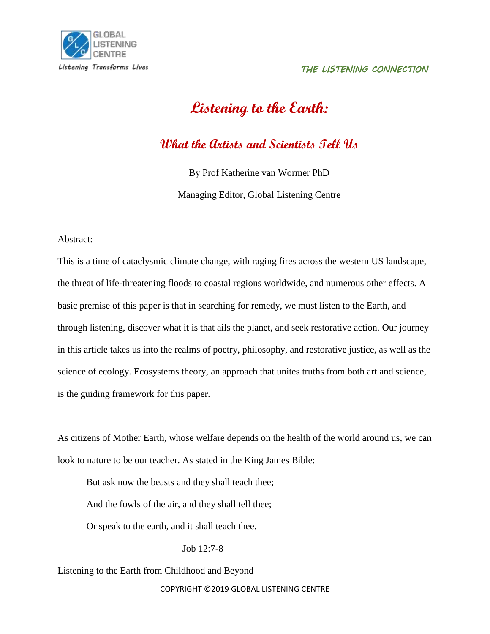# **Listening to the Earth:**

**What the Artists and Scientists Tell Us**

By Prof Katherine van Wormer PhD

Managing Editor, Global Listening Centre

Abstract:

This is a time of cataclysmic climate change, with raging fires across the western US landscape, the threat of life-threatening floods to coastal regions worldwide, and numerous other effects. A basic premise of this paper is that in searching for remedy, we must listen to the Earth, and through listening, discover what it is that ails the planet, and seek restorative action. Our journey in this article takes us into the realms of poetry, philosophy, and restorative justice, as well as the science of ecology. Ecosystems theory, an approach that unites truths from both art and science, is the guiding framework for this paper.

As citizens of Mother Earth, whose welfare depends on the health of the world around us, we can look to nature to be our teacher. As stated in the King James Bible:

But ask now the beasts and they shall teach thee; And the fowls of the air, and they shall tell thee; Or speak to the earth, and it shall teach thee.

Job 12:7-8

Listening to the Earth from Childhood and Beyond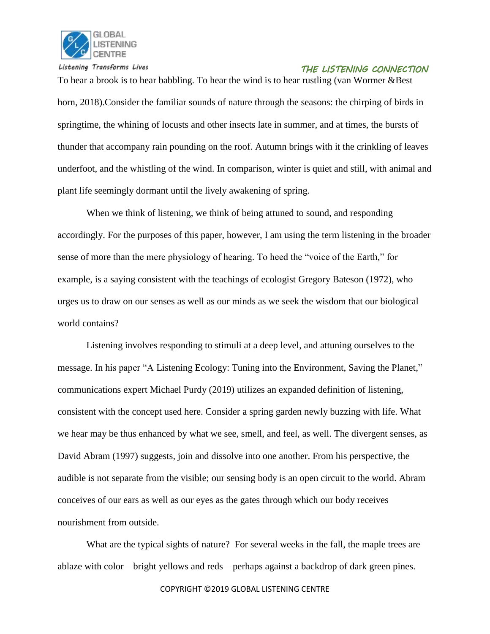

To hear a brook is to hear babbling. To hear the wind is to hear rustling (van Wormer &Best) horn, 2018).Consider the familiar sounds of nature through the seasons: the chirping of birds in springtime, the whining of locusts and other insects late in summer, and at times, the bursts of thunder that accompany rain pounding on the roof. Autumn brings with it the crinkling of leaves underfoot, and the whistling of the wind. In comparison, winter is quiet and still, with animal and plant life seemingly dormant until the lively awakening of spring.

When we think of listening, we think of being attuned to sound, and responding accordingly. For the purposes of this paper, however, I am using the term listening in the broader sense of more than the mere physiology of hearing. To heed the "voice of the Earth," for example, is a saying consistent with the teachings of ecologist Gregory Bateson (1972), who urges us to draw on our senses as well as our minds as we seek the wisdom that our biological world contains?

Listening involves responding to stimuli at a deep level, and attuning ourselves to the message. In his paper "A Listening Ecology: Tuning into the Environment, Saving the Planet," communications expert Michael Purdy (2019) utilizes an expanded definition of listening, consistent with the concept used here. Consider a spring garden newly buzzing with life. What we hear may be thus enhanced by what we see, smell, and feel, as well. The divergent senses, as David Abram (1997) suggests, join and dissolve into one another. From his perspective, the audible is not separate from the visible; our sensing body is an open circuit to the world. Abram conceives of our ears as well as our eyes as the gates through which our body receives nourishment from outside.

What are the typical sights of nature? For several weeks in the fall, the maple trees are ablaze with color—bright yellows and reds—perhaps against a backdrop of dark green pines.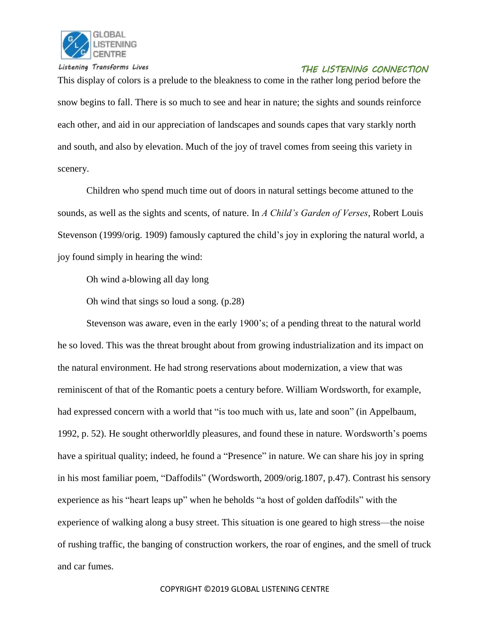

This display of colors is a prelude to the bleakness to come in the rather long period before the snow begins to fall. There is so much to see and hear in nature; the sights and sounds reinforce each other, and aid in our appreciation of landscapes and sounds capes that vary starkly north and south, and also by elevation. Much of the joy of travel comes from seeing this variety in scenery.

Children who spend much time out of doors in natural settings become attuned to the sounds, as well as the sights and scents, of nature. In *A Child's Garden of Verses*, Robert Louis Stevenson (1999/orig. 1909) famously captured the child's joy in exploring the natural world, a joy found simply in hearing the wind:

Oh wind a-blowing all day long

Oh wind that sings so loud a song. (p.28)

Stevenson was aware, even in the early 1900's; of a pending threat to the natural world he so loved. This was the threat brought about from growing industrialization and its impact on the natural environment. He had strong reservations about modernization, a view that was reminiscent of that of the Romantic poets a century before. William Wordsworth, for example, had expressed concern with a world that "is too much with us, late and soon" (in Appelbaum, 1992, p. 52). He sought otherworldly pleasures, and found these in nature. Wordsworth's poems have a spiritual quality; indeed, he found a "Presence" in nature. We can share his joy in spring in his most familiar poem, "Daffodils" (Wordsworth, 2009/orig.1807, p.47). Contrast his sensory experience as his "heart leaps up" when he beholds "a host of golden daffodils" with the experience of walking along a busy street. This situation is one geared to high stress—the noise of rushing traffic, the banging of construction workers, the roar of engines, and the smell of truck and car fumes.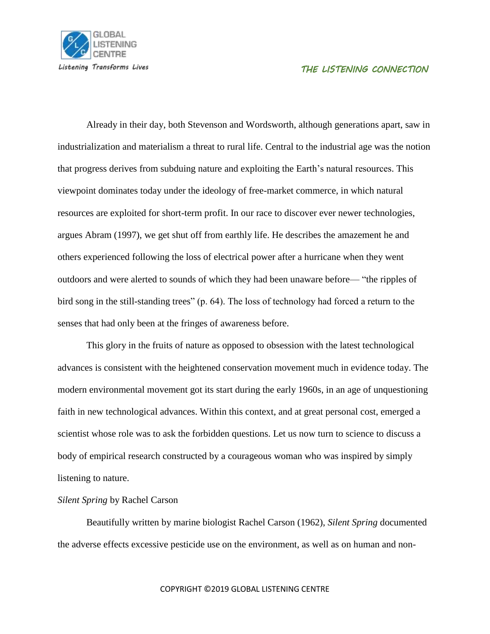

Already in their day, both Stevenson and Wordsworth, although generations apart, saw in industrialization and materialism a threat to rural life. Central to the industrial age was the notion that progress derives from subduing nature and exploiting the Earth's natural resources. This viewpoint dominates today under the ideology of free-market commerce, in which natural resources are exploited for short-term profit. In our race to discover ever newer technologies, argues Abram (1997), we get shut off from earthly life. He describes the amazement he and others experienced following the loss of electrical power after a hurricane when they went outdoors and were alerted to sounds of which they had been unaware before— "the ripples of bird song in the still-standing trees" (p. 64). The loss of technology had forced a return to the senses that had only been at the fringes of awareness before.

This glory in the fruits of nature as opposed to obsession with the latest technological advances is consistent with the heightened conservation movement much in evidence today. The modern environmental movement got its start during the early 1960s, in an age of unquestioning faith in new technological advances. Within this context, and at great personal cost, emerged a scientist whose role was to ask the forbidden questions. Let us now turn to science to discuss a body of empirical research constructed by a courageous woman who was inspired by simply listening to nature.

#### *Silent Spring* by Rachel Carson

Beautifully written by marine biologist Rachel Carson (1962), *Silent Spring* documented the adverse effects excessive pesticide use on the environment, as well as on human and non-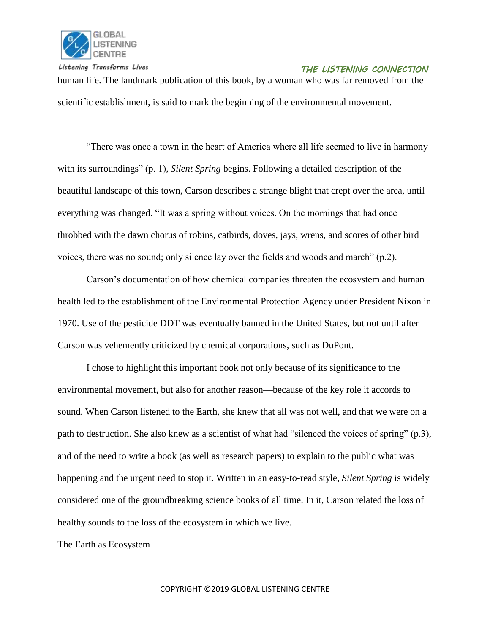

human life. The landmark publication of this book, by a woman who was far removed from the scientific establishment, is said to mark the beginning of the environmental movement.

"There was once a town in the heart of America where all life seemed to live in harmony with its surroundings" (p. 1), *Silent Spring* begins. Following a detailed description of the beautiful landscape of this town, Carson describes a strange blight that crept over the area, until everything was changed. "It was a spring without voices. On the mornings that had once throbbed with the dawn chorus of robins, catbirds, doves, jays, wrens, and scores of other bird voices, there was no sound; only silence lay over the fields and woods and march" (p.2).

Carson's documentation of how chemical companies threaten the ecosystem and human health led to the establishment of the Environmental Protection Agency under President Nixon in 1970. Use of the pesticide DDT was eventually banned in the United States, but not until after Carson was vehemently criticized by chemical corporations, such as DuPont.

I chose to highlight this important book not only because of its significance to the environmental movement, but also for another reason—because of the key role it accords to sound. When Carson listened to the Earth, she knew that all was not well, and that we were on a path to destruction. She also knew as a scientist of what had "silenced the voices of spring" (p.3), and of the need to write a book (as well as research papers) to explain to the public what was happening and the urgent need to stop it. Written in an easy-to-read style, *Silent Spring* is widely considered one of the groundbreaking science books of all time. In it, Carson related the loss of healthy sounds to the loss of the ecosystem in which we live.

The Earth as Ecosystem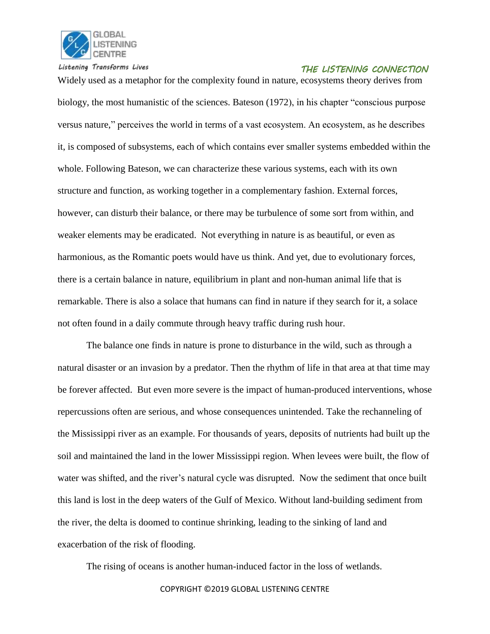

Widely used as a metaphor for the complexity found in nature, ecosystems theory derives from biology, the most humanistic of the sciences. Bateson (1972), in his chapter "conscious purpose versus nature," perceives the world in terms of a vast ecosystem. An ecosystem, as he describes it, is composed of subsystems, each of which contains ever smaller systems embedded within the whole. Following Bateson, we can characterize these various systems, each with its own structure and function, as working together in a complementary fashion. External forces, however, can disturb their balance, or there may be turbulence of some sort from within, and weaker elements may be eradicated. Not everything in nature is as beautiful, or even as harmonious, as the Romantic poets would have us think. And yet, due to evolutionary forces, there is a certain balance in nature, equilibrium in plant and non-human animal life that is remarkable. There is also a solace that humans can find in nature if they search for it, a solace not often found in a daily commute through heavy traffic during rush hour.

The balance one finds in nature is prone to disturbance in the wild, such as through a natural disaster or an invasion by a predator. Then the rhythm of life in that area at that time may be forever affected. But even more severe is the impact of human-produced interventions, whose repercussions often are serious, and whose consequences unintended. Take the rechanneling of the Mississippi river as an example. For thousands of years, deposits of nutrients had built up the soil and maintained the land in the lower Mississippi region. When levees were built, the flow of water was shifted, and the river's natural cycle was disrupted. Now the sediment that once built this land is lost in the deep waters of the Gulf of Mexico. Without land-building sediment from the river, the delta is doomed to continue shrinking, leading to the sinking of land and exacerbation of the risk of flooding.

The rising of oceans is another human-induced factor in the loss of wetlands.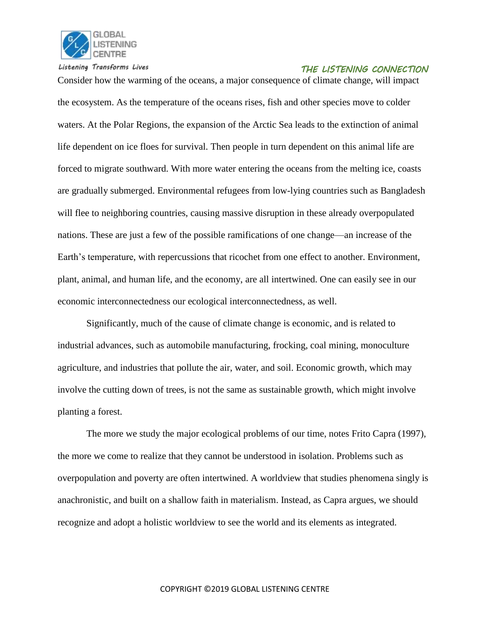

Consider how the warming of the oceans, a major consequence of climate change, will impact the ecosystem. As the temperature of the oceans rises, fish and other species move to colder waters. At the Polar Regions, the expansion of the Arctic Sea leads to the extinction of animal life dependent on ice floes for survival. Then people in turn dependent on this animal life are forced to migrate southward. With more water entering the oceans from the melting ice, coasts are gradually submerged. Environmental refugees from low-lying countries such as Bangladesh will flee to neighboring countries, causing massive disruption in these already overpopulated nations. These are just a few of the possible ramifications of one change—an increase of the Earth's temperature, with repercussions that ricochet from one effect to another. Environment, plant, animal, and human life, and the economy, are all intertwined. One can easily see in our economic interconnectedness our ecological interconnectedness, as well.

Significantly, much of the cause of climate change is economic, and is related to industrial advances, such as automobile manufacturing, frocking, coal mining, monoculture agriculture, and industries that pollute the air, water, and soil. Economic growth, which may involve the cutting down of trees, is not the same as sustainable growth, which might involve planting a forest.

The more we study the major ecological problems of our time, notes Frito Capra (1997), the more we come to realize that they cannot be understood in isolation. Problems such as overpopulation and poverty are often intertwined. A worldview that studies phenomena singly is anachronistic, and built on a shallow faith in materialism. Instead, as Capra argues, we should recognize and adopt a holistic worldview to see the world and its elements as integrated.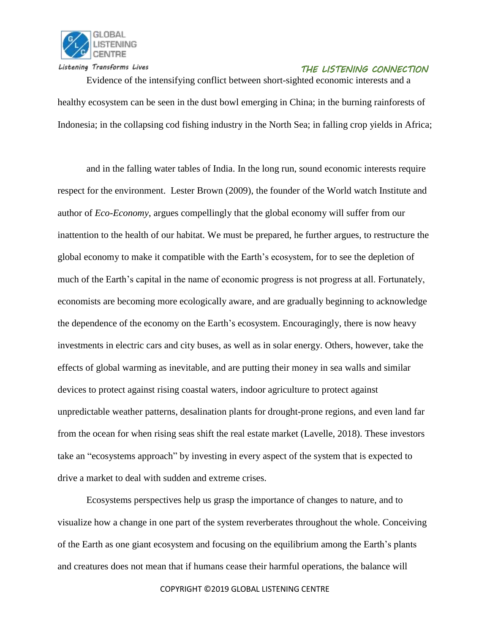

Evidence of the intensifying conflict between short-sighted economic interests and a healthy ecosystem can be seen in the dust bowl emerging in China; in the burning rainforests of Indonesia; in the collapsing cod fishing industry in the North Sea; in falling crop yields in Africa;

and in the falling water tables of India. In the long run, sound economic interests require respect for the environment. Lester Brown (2009), the founder of the World watch Institute and author of *Eco-Economy*, argues compellingly that the global economy will suffer from our inattention to the health of our habitat. We must be prepared, he further argues, to restructure the global economy to make it compatible with the Earth's ecosystem, for to see the depletion of much of the Earth's capital in the name of economic progress is not progress at all. Fortunately, economists are becoming more ecologically aware, and are gradually beginning to acknowledge the dependence of the economy on the Earth's ecosystem. Encouragingly, there is now heavy investments in electric cars and city buses, as well as in solar energy. Others, however, take the effects of global warming as inevitable, and are putting their money in sea walls and similar devices to protect against rising coastal waters, indoor agriculture to protect against unpredictable weather patterns, desalination plants for drought-prone regions, and even land far from the ocean for when rising seas shift the real estate market (Lavelle, 2018). These investors take an "ecosystems approach" by investing in every aspect of the system that is expected to drive a market to deal with sudden and extreme crises.

Ecosystems perspectives help us grasp the importance of changes to nature, and to visualize how a change in one part of the system reverberates throughout the whole. Conceiving of the Earth as one giant ecosystem and focusing on the equilibrium among the Earth's plants and creatures does not mean that if humans cease their harmful operations, the balance will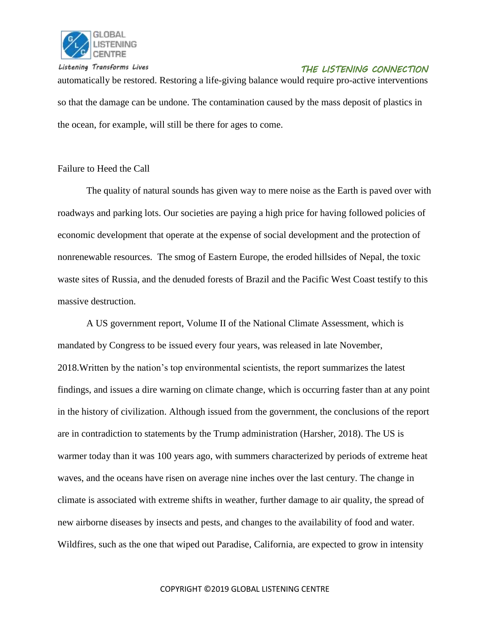

automatically be restored. Restoring a life-giving balance would require pro-active interventions so that the damage can be undone. The contamination caused by the mass deposit of plastics in the ocean, for example, will still be there for ages to come.

#### Failure to Heed the Call

The quality of natural sounds has given way to mere noise as the Earth is paved over with roadways and parking lots. Our societies are paying a high price for having followed policies of economic development that operate at the expense of social development and the protection of nonrenewable resources. The smog of Eastern Europe, the eroded hillsides of Nepal, the toxic waste sites of Russia, and the denuded forests of Brazil and the Pacific West Coast testify to this massive destruction.

A US government report, Volume II of the National Climate Assessment, which is mandated by Congress to be issued every four years, was released in late November, 2018.Written by the nation's top environmental scientists, the report summarizes the latest findings, and issues a dire warning on climate change, which is occurring faster than at any point in the history of civilization. Although issued from the government, the conclusions of the report are in contradiction to statements by the Trump administration (Harsher, 2018). The US is warmer today than it was 100 years ago, with summers characterized by periods of extreme heat waves, and the oceans have risen on average nine inches over the last century. The change in climate is associated with extreme shifts in weather, further damage to air quality, the spread of new airborne diseases by insects and pests, and changes to the availability of food and water. Wildfires, such as the one that wiped out Paradise, California, are expected to grow in intensity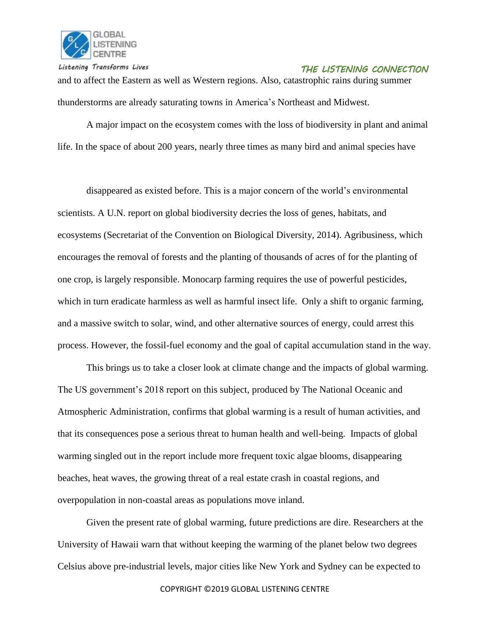

 *THE LISTENING CONNECTION* and to affect the Eastern as well as Western regions. Also, catastrophic rains during summer thunderstorms are already saturating towns in America's Northeast and Midwest.

A major impact on the ecosystem comes with the loss of biodiversity in plant and animal life. In the space of about 200 years, nearly three times as many bird and animal species have

disappeared as existed before. This is a major concern of the world's environmental scientists. A U.N. report on global biodiversity decries the loss of genes, habitats, and ecosystems (Secretariat of the Convention on Biological Diversity, 2014). Agribusiness, which encourages the removal of forests and the planting of thousands of acres of for the planting of one crop, is largely responsible. Monocarp farming requires the use of powerful pesticides, which in turn eradicate harmless as well as harmful insect life. Only a shift to organic farming, and a massive switch to solar, wind, and other alternative sources of energy, could arrest this process. However, the fossil-fuel economy and the goal of capital accumulation stand in the way.

This brings us to take a closer look at climate change and the impacts of global warming. The US government's 2018 report on this subject, produced by The National Oceanic and Atmospheric Administration, confirms that global warming is a result of human activities, and that its consequences pose a serious threat to human health and well-being. Impacts of global warming singled out in the report include more frequent toxic algae blooms, disappearing beaches, heat waves, the growing threat of a real estate crash in coastal regions, and overpopulation in non-coastal areas as populations move inland.

Given the present rate of global warming, future predictions are dire. Researchers at the University of Hawaii warn that without keeping the warming of the planet below two degrees Celsius above pre-industrial levels, major cities like New York and Sydney can be expected to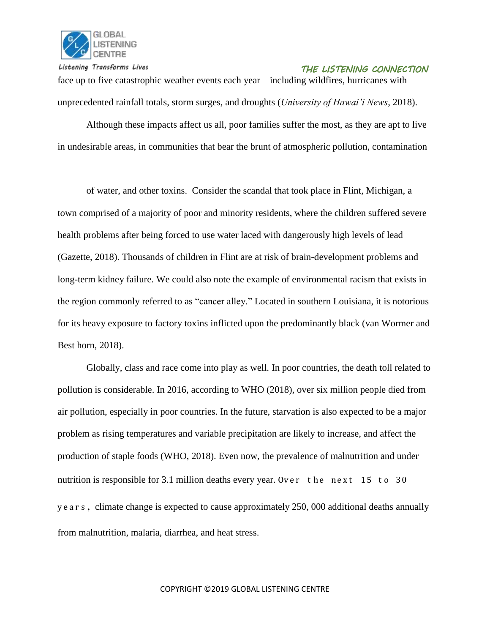

face up to five catastrophic weather events each year—including wildfires, hurricanes with unprecedented rainfall totals, storm surges, and droughts (*University of Hawai'i News*, 2018).

Although these impacts affect us all, poor families suffer the most, as they are apt to live in undesirable areas, in communities that bear the brunt of atmospheric pollution, contamination

of water, and other toxins. Consider the scandal that took place in Flint, Michigan, a town comprised of a majority of poor and minority residents, where the children suffered severe health problems after being forced to use water laced with dangerously high levels of lead (Gazette, 2018). Thousands of children in Flint are at risk of brain-development problems and long-term kidney failure. We could also note the example of environmental racism that exists in the region commonly referred to as "cancer alley." Located in southern Louisiana, it is notorious for its heavy exposure to factory toxins inflicted upon the predominantly black (van Wormer and Best horn, 2018).

Globally, class and race come into play as well. In poor countries, the death toll related to pollution is considerable. In 2016, according to WHO (2018), over six million people died from air pollution, especially in poor countries. In the future, starvation is also expected to be a major problem as rising temperatures and variable precipitation are likely to increase, and affect the production of staple foods (WHO, 2018). Even now, the prevalence of malnutrition and under nutrition is responsible for 3.1 million deaths every year. Over the next 15 to 30 y e a r s , climate change is expected to cause approximately 250, 000 additional deaths annually from malnutrition, malaria, diarrhea, and heat stress.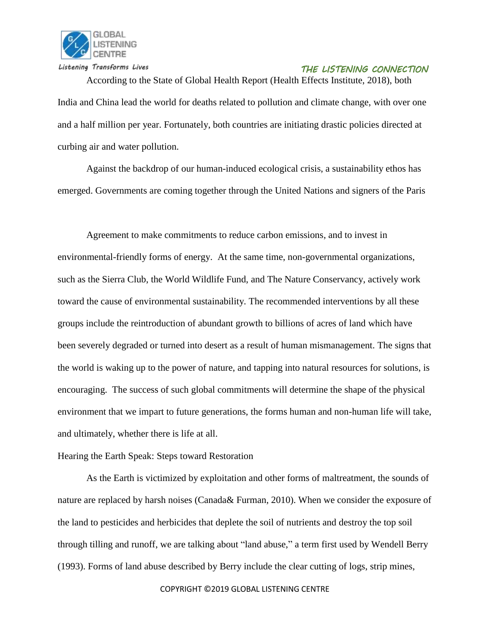

According to the State of Global Health Report (Health Effects Institute, 2018), both India and China lead the world for deaths related to pollution and climate change, with over one and a half million per year. Fortunately, both countries are initiating drastic policies directed at curbing air and water pollution.

Against the backdrop of our human-induced ecological crisis, a sustainability ethos has emerged. Governments are coming together through the United Nations and signers of the Paris

Agreement to make commitments to reduce carbon emissions, and to invest in environmental-friendly forms of energy. At the same time, non-governmental organizations, such as the Sierra Club, the World Wildlife Fund, and The Nature Conservancy, actively work toward the cause of environmental sustainability. The recommended interventions by all these groups include the reintroduction of abundant growth to billions of acres of land which have been severely degraded or turned into desert as a result of human mismanagement. The signs that the world is waking up to the power of nature, and tapping into natural resources for solutions, is encouraging. The success of such global commitments will determine the shape of the physical environment that we impart to future generations, the forms human and non-human life will take, and ultimately, whether there is life at all.

#### Hearing the Earth Speak: Steps toward Restoration

As the Earth is victimized by exploitation and other forms of maltreatment, the sounds of nature are replaced by harsh noises (Canada& Furman, 2010). When we consider the exposure of the land to pesticides and herbicides that deplete the soil of nutrients and destroy the top soil through tilling and runoff, we are talking about "land abuse," a term first used by Wendell Berry (1993). Forms of land abuse described by Berry include the clear cutting of logs, strip mines,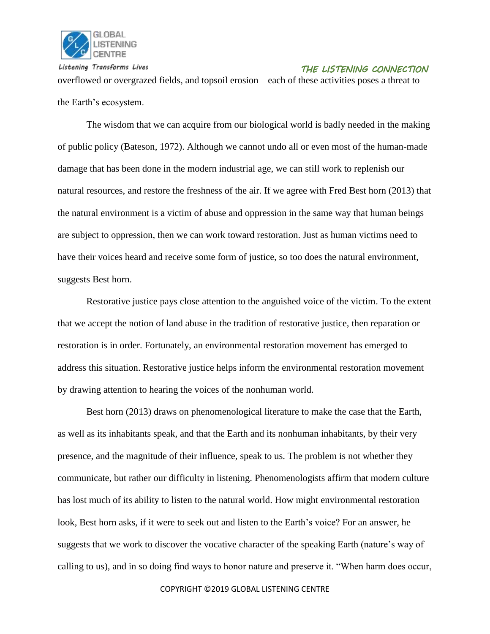

 *THE LISTENING CONNECTION* overflowed or overgrazed fields, and topsoil erosion—each of these activities poses a threat to the Earth's ecosystem.

The wisdom that we can acquire from our biological world is badly needed in the making of public policy (Bateson, 1972). Although we cannot undo all or even most of the human-made damage that has been done in the modern industrial age, we can still work to replenish our natural resources, and restore the freshness of the air. If we agree with Fred Best horn (2013) that the natural environment is a victim of abuse and oppression in the same way that human beings are subject to oppression, then we can work toward restoration. Just as human victims need to have their voices heard and receive some form of justice, so too does the natural environment, suggests Best horn.

Restorative justice pays close attention to the anguished voice of the victim. To the extent that we accept the notion of land abuse in the tradition of restorative justice, then reparation or restoration is in order. Fortunately, an environmental restoration movement has emerged to address this situation. Restorative justice helps inform the environmental restoration movement by drawing attention to hearing the voices of the nonhuman world.

Best horn (2013) draws on phenomenological literature to make the case that the Earth, as well as its inhabitants speak, and that the Earth and its nonhuman inhabitants, by their very presence, and the magnitude of their influence, speak to us. The problem is not whether they communicate, but rather our difficulty in listening. Phenomenologists affirm that modern culture has lost much of its ability to listen to the natural world. How might environmental restoration look, Best horn asks, if it were to seek out and listen to the Earth's voice? For an answer, he suggests that we work to discover the vocative character of the speaking Earth (nature's way of calling to us), and in so doing find ways to honor nature and preserve it. "When harm does occur,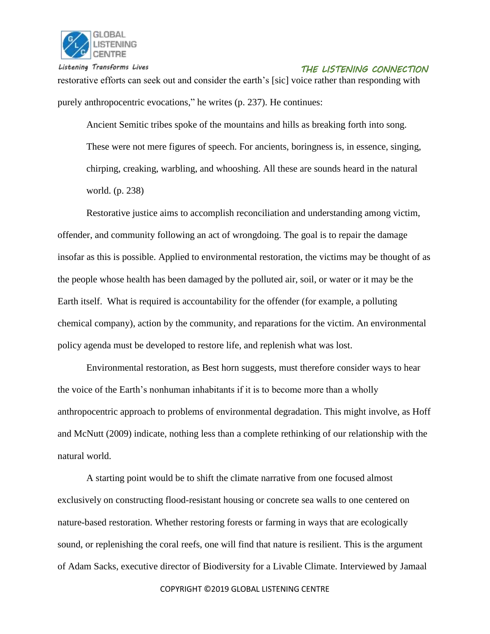

restorative efforts can seek out and consider the earth's [sic] voice rather than responding with purely anthropocentric evocations," he writes (p. 237). He continues:

Ancient Semitic tribes spoke of the mountains and hills as breaking forth into song. These were not mere figures of speech. For ancients, boringness is, in essence, singing, chirping, creaking, warbling, and whooshing. All these are sounds heard in the natural world. (p. 238)

Restorative justice aims to accomplish reconciliation and understanding among victim, offender, and community following an act of wrongdoing. The goal is to repair the damage insofar as this is possible. Applied to environmental restoration, the victims may be thought of as the people whose health has been damaged by the polluted air, soil, or water or it may be the Earth itself. What is required is accountability for the offender (for example, a polluting chemical company), action by the community, and reparations for the victim. An environmental policy agenda must be developed to restore life, and replenish what was lost.

Environmental restoration, as Best horn suggests, must therefore consider ways to hear the voice of the Earth's nonhuman inhabitants if it is to become more than a wholly anthropocentric approach to problems of environmental degradation. This might involve, as Hoff and McNutt (2009) indicate, nothing less than a complete rethinking of our relationship with the natural world.

A starting point would be to shift the climate narrative from one focused almost exclusively on constructing flood-resistant housing or concrete sea walls to one centered on nature-based restoration. Whether restoring forests or farming in ways that are ecologically sound, or replenishing the coral reefs, one will find that nature is resilient. This is the argument of Adam Sacks, executive director of Biodiversity for a Livable Climate. Interviewed by Jamaal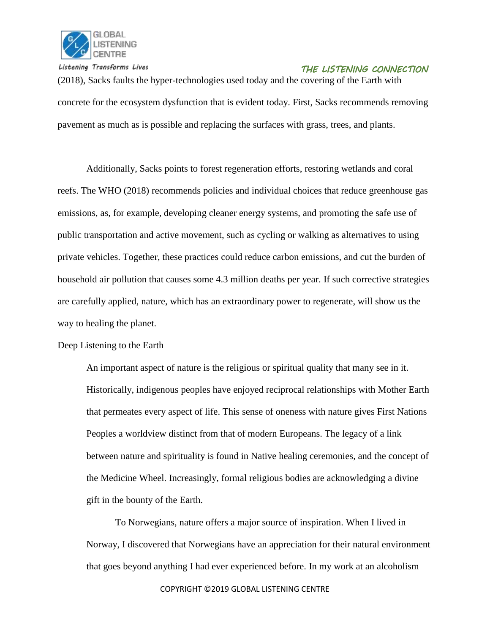

(2018), Sacks faults the hyper-technologies used today and the covering of the Earth with concrete for the ecosystem dysfunction that is evident today. First, Sacks recommends removing pavement as much as is possible and replacing the surfaces with grass, trees, and plants.

Additionally, Sacks points to forest regeneration efforts, restoring wetlands and coral reefs. The WHO (2018) recommends policies and individual choices that reduce greenhouse gas emissions, as, for example, developing cleaner energy systems, and promoting the safe use of public transportation and active movement, such as cycling or walking as alternatives to using private vehicles. Together, these practices could reduce carbon emissions, and cut the burden of household air pollution that causes some 4.3 million deaths per year. If such corrective strategies are carefully applied, nature, which has an extraordinary power to regenerate, will show us the way to healing the planet.

Deep Listening to the Earth

An important aspect of nature is the religious or spiritual quality that many see in it. Historically, indigenous peoples have enjoyed reciprocal relationships with Mother Earth that permeates every aspect of life. This sense of oneness with nature gives First Nations Peoples a worldview distinct from that of modern Europeans. The legacy of a link between nature and spirituality is found in Native healing ceremonies, and the concept of the Medicine Wheel. Increasingly, formal religious bodies are acknowledging a divine gift in the bounty of the Earth.

To Norwegians, nature offers a major source of inspiration. When I lived in Norway, I discovered that Norwegians have an appreciation for their natural environment that goes beyond anything I had ever experienced before. In my work at an alcoholism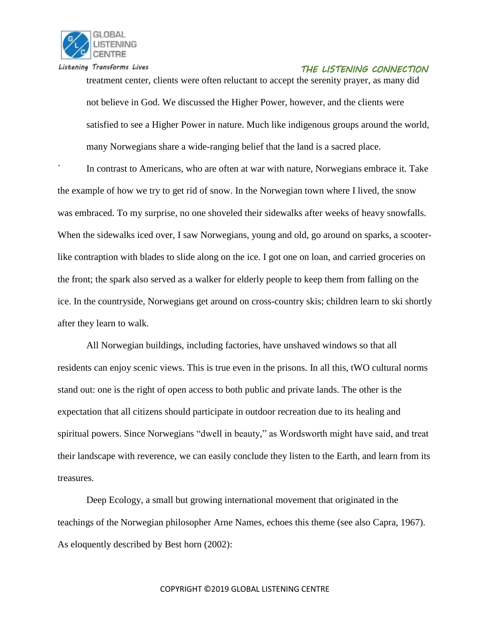

treatment center, clients were often reluctant to accept the serenity prayer, as many did not believe in God. We discussed the Higher Power, however, and the clients were satisfied to see a Higher Power in nature. Much like indigenous groups around the world, many Norwegians share a wide-ranging belief that the land is a sacred place.

In contrast to Americans, who are often at war with nature, Norwegians embrace it. Take the example of how we try to get rid of snow. In the Norwegian town where I lived, the snow was embraced. To my surprise, no one shoveled their sidewalks after weeks of heavy snowfalls. When the sidewalks iced over, I saw Norwegians, young and old, go around on sparks, a scooterlike contraption with blades to slide along on the ice. I got one on loan, and carried groceries on the front; the spark also served as a walker for elderly people to keep them from falling on the ice. In the countryside, Norwegians get around on cross-country skis; children learn to ski shortly after they learn to walk.

All Norwegian buildings, including factories, have unshaved windows so that all residents can enjoy scenic views. This is true even in the prisons. In all this, tWO cultural norms stand out: one is the right of open access to both public and private lands. The other is the expectation that all citizens should participate in outdoor recreation due to its healing and spiritual powers. Since Norwegians "dwell in beauty," as Wordsworth might have said, and treat their landscape with reverence, we can easily conclude they listen to the Earth, and learn from its treasures.

Deep Ecology, a small but growing international movement that originated in the teachings of the Norwegian philosopher Arne Names, echoes this theme (see also Capra, 1967). As eloquently described by Best horn (2002):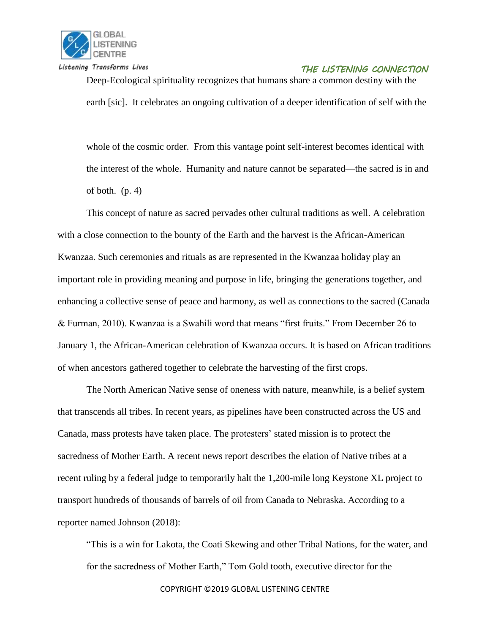

Deep-Ecological spirituality recognizes that humans share a common destiny with the earth [sic]. It celebrates an ongoing cultivation of a deeper identification of self with the

whole of the cosmic order. From this vantage point self-interest becomes identical with the interest of the whole. Humanity and nature cannot be separated—the sacred is in and of both.  $(p. 4)$ 

This concept of nature as sacred pervades other cultural traditions as well. A celebration with a close connection to the bounty of the Earth and the harvest is the African-American Kwanzaa. Such ceremonies and rituals as are represented in the Kwanzaa holiday play an important role in providing meaning and purpose in life, bringing the generations together, and enhancing a collective sense of peace and harmony, as well as connections to the sacred (Canada & Furman, 2010). Kwanzaa is a Swahili word that means "first fruits." From December 26 to January 1, the African-American celebration of Kwanzaa occurs. It is based on African traditions of when ancestors gathered together to celebrate the harvesting of the first crops.

The North American Native sense of oneness with nature, meanwhile, is a belief system that transcends all tribes. In recent years, as pipelines have been constructed across the US and Canada, mass protests have taken place. The protesters' stated mission is to protect the sacredness of Mother Earth. A recent news report describes the elation of Native tribes at a recent ruling by a federal judge to temporarily halt the 1,200-mile long Keystone XL project to transport hundreds of thousands of barrels of oil from Canada to Nebraska. According to a reporter named Johnson (2018):

"This is a win for Lakota, the Coati Skewing and other Tribal Nations, for the water, and for the sacredness of Mother Earth," Tom Gold tooth, executive director for the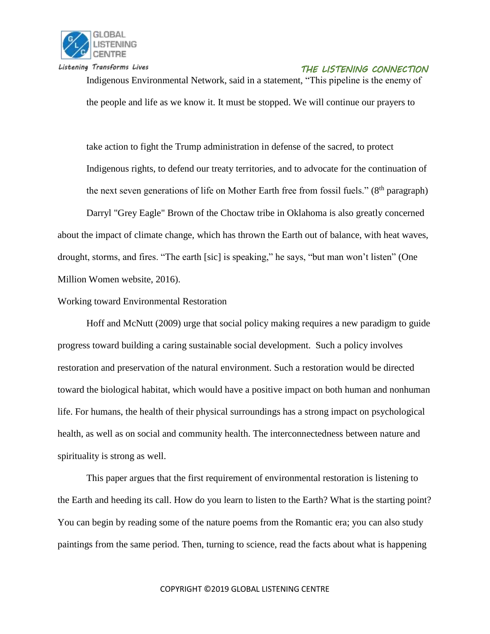

Indigenous Environmental Network, said in a statement, "This pipeline is the enemy of the people and life as we know it. It must be stopped. We will continue our prayers to

take action to fight the Trump administration in defense of the sacred, to protect Indigenous rights, to defend our treaty territories, and to advocate for the continuation of the next seven generations of life on Mother Earth free from fossil fuels." (8<sup>th</sup> paragraph)

Darryl "Grey Eagle" Brown of the Choctaw tribe in Oklahoma is also greatly concerned about the impact of climate change, which has thrown the Earth out of balance, with heat waves, drought, storms, and fires. "The earth [sic] is speaking," he says, "but man won't listen" (One Million Women website, 2016).

#### Working toward Environmental Restoration

Hoff and McNutt (2009) urge that social policy making requires a new paradigm to guide progress toward building a caring sustainable social development. Such a policy involves restoration and preservation of the natural environment. Such a restoration would be directed toward the biological habitat, which would have a positive impact on both human and nonhuman life. For humans, the health of their physical surroundings has a strong impact on psychological health, as well as on social and community health. The interconnectedness between nature and spirituality is strong as well.

This paper argues that the first requirement of environmental restoration is listening to the Earth and heeding its call. How do you learn to listen to the Earth? What is the starting point? You can begin by reading some of the nature poems from the Romantic era; you can also study paintings from the same period. Then, turning to science, read the facts about what is happening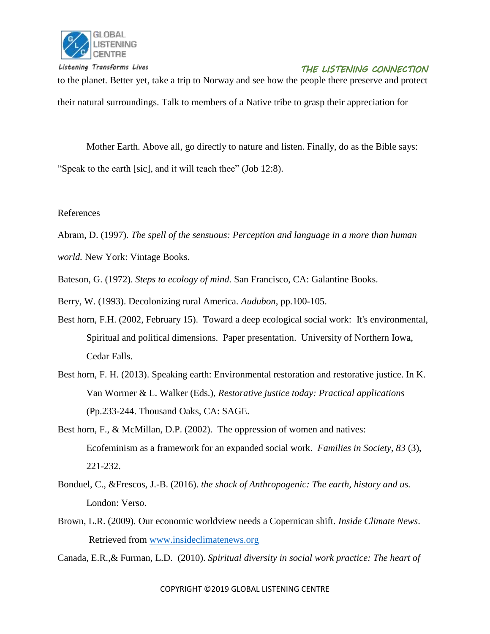

to the planet. Better yet, take a trip to Norway and see how the people there preserve and protect their natural surroundings. Talk to members of a Native tribe to grasp their appreciation for

Mother Earth. Above all, go directly to nature and listen. Finally, do as the Bible says: "Speak to the earth [sic], and it will teach thee" (Job 12:8).

#### References

Abram, D. (1997). *The spell of the sensuous: Perception and language in a more than human* 

*world.* New York: Vintage Books.

Bateson, G. (1972). *Steps to ecology of mind.* San Francisco, CA: Galantine Books.

- Berry, W. (1993). Decolonizing rural America. *Audubon*, pp.100-105.
- Best horn, F.H. (2002, February 15). Toward a deep ecological social work: It's environmental, Spiritual and political dimensions. Paper presentation. University of Northern Iowa, Cedar Falls.
- Best horn, F. H. (2013). Speaking earth: Environmental restoration and restorative justice. In K. Van Wormer & L. Walker (Eds.), *Restorative justice today: Practical applications* (Pp.233-244. Thousand Oaks, CA: SAGE.
- Best horn, F., & McMillan, D.P. (2002). The oppression of women and natives: Ecofeminism as a framework for an expanded social work. *Families in Society, 83* (3), 221-232.
- Bonduel, C., &Frescos, J.-B. (2016). *the shock of Anthropogenic: The earth, history and us.* London: Verso.
- Brown, L.R. (2009). Our economic worldview needs a Copernican shift. *Inside Climate News*. Retrieved from [www.insideclimatenews.org](http://www.insideclimatenews.org/)

Canada, E.R.,& Furman, L.D. (2010). *Spiritual diversity in social work practice: The heart of*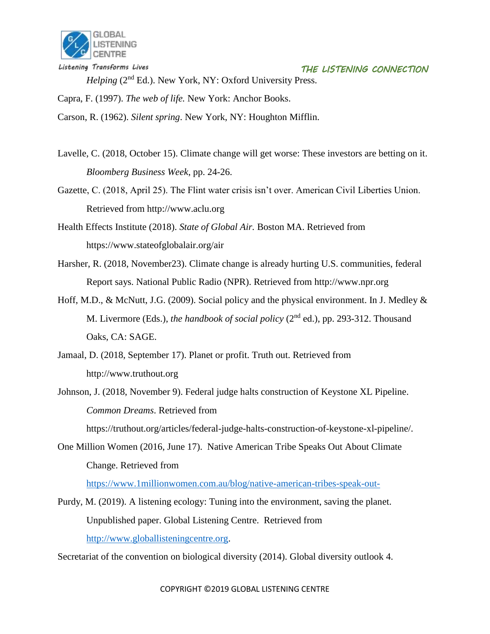

*Helping* (2nd Ed.). New York, NY: Oxford University Press.

Capra, F. (1997). *The web of life.* New York: Anchor Books.

Carson, R. (1962). *Silent spring*. New York, NY: Houghton Mifflin.

Lavelle, C. (2018, October 15). Climate change will get worse: These investors are betting on it. *Bloomberg Business Week*, pp. 24-26.

Gazette, C. (2018, April 25). The Flint water crisis isn't over. American Civil Liberties Union. Retrieved from http://www.aclu.org

Health Effects Institute (2018). *State of Global Air.* Boston MA. Retrieved from https://www.stateofglobalair.org/air

Harsher, R. (2018, November23). Climate change is already hurting U.S. communities, federal Report says. National Public Radio (NPR). Retrieved from http://www.npr.org

Hoff, M.D., & McNutt, J.G. (2009). Social policy and the physical environment. In J. Medley  $\&$ M. Livermore (Eds.), *the handbook of social policy* (2nd ed.), pp. 293-312. Thousand Oaks, CA: SAGE.

Jamaal, D. (2018, September 17). Planet or profit. Truth out. Retrieved from http://www.truthout.org

Johnson, J. (2018, November 9). Federal judge halts construction of Keystone XL Pipeline. *Common Dreams*. Retrieved from https://truthout.org/articles/federal-judge-halts-construction-of-keystone-xl-pipeline/.

One Million Women (2016, June 17). Native American Tribe Speaks Out About Climate Change. Retrieved from

<https://www.1millionwomen.com.au/blog/native-american-tribes-speak-out->

Purdy, M. (2019). A listening ecology: Tuning into the environment, saving the planet. Unpublished paper. Global Listening Centre. Retrieved from [http://www.globallisteningcentre.org.](http://www.globallisteningcentre.org/)

Secretariat of the convention on biological diversity (2014). Global diversity outlook 4.